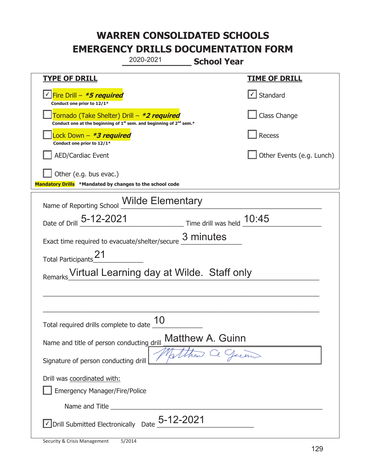|                                                                                    | 2020-2021<br><b>School Year</b>                                               |                             |
|------------------------------------------------------------------------------------|-------------------------------------------------------------------------------|-----------------------------|
| <u>TYPE OF DRILL</u>                                                               |                                                                               | <u>TIME OF DRILL</u>        |
| Fire Drill - *5 required<br>Conduct one prior to 12/1*                             |                                                                               | $\sf I$ Standard            |
| Tornado (Take Shelter) Drill – *2 required                                         | Conduct one at the beginning of $1^{st}$ sem. and beginning of $2^{nd}$ sem.* | Class Change                |
| Lock Down – <b>*<i>3 required</i></b><br>Conduct one prior to 12/1*                |                                                                               | Recess                      |
| <b>AED/Cardiac Event</b>                                                           |                                                                               | Other Events (e.g. Lunch)   |
| Other (e.g. bus evac.)<br>Mandatory Drills *Mandated by changes to the school code |                                                                               |                             |
|                                                                                    | Name of Reporting School Milde Elementary                                     |                             |
| Date of Drill 5-12-2021                                                            |                                                                               | Time drill was held $10:45$ |
| Exact time required to evacuate/shelter/secure                                     | 3 minutes                                                                     |                             |
| Total Participants_                                                                |                                                                               |                             |
|                                                                                    | Virtual Learning day at Wilde. Staff only                                     |                             |
|                                                                                    |                                                                               |                             |
|                                                                                    |                                                                               |                             |
| Total required drills complete to date $\frac{10}{10}$                             |                                                                               |                             |
| Name and title of person conducting drill                                          | <b>Matthew A. Guinn</b>                                                       |                             |
| Signature of person conducting drill                                               |                                                                               | 7. Juin                     |
| Drill was coordinated with:<br><b>Emergency Manager/Fire/Police</b>                |                                                                               |                             |
| Name and Title                                                                     |                                                                               |                             |
|                                                                                    | $\vee$ Drill Submitted Electronically Date 5-12-2021                          |                             |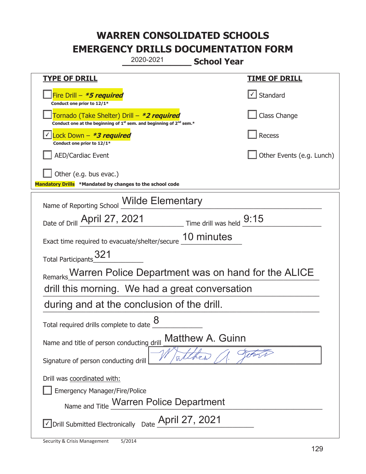| 2020-2021                                                                                                                   | <b>School Year</b>         |
|-----------------------------------------------------------------------------------------------------------------------------|----------------------------|
| <u>TYPE OF DRILL</u>                                                                                                        | <b>TIME OF DRILL</b>       |
| Fire Drill - *5 required<br>Conduct one prior to 12/1*                                                                      | Standard                   |
| Tornado (Take Shelter) Drill – *2 required<br>Conduct one at the beginning of $1^{st}$ sem. and beginning of $2^{nd}$ sem.* | Class Change               |
| Lock Down - <b>*3 required</b><br>Conduct one prior to 12/1*                                                                | <b>Recess</b>              |
| <b>AED/Cardiac Event</b>                                                                                                    | Other Events (e.g. Lunch)  |
| Other (e.g. bus evac.)<br>Mandatory Drills *Mandated by changes to the school code                                          |                            |
| Name of Reporting School Wilde Elementary                                                                                   |                            |
| Date of Drill April 27, 2021                                                                                                | Time drill was held $9:15$ |
| Exact time required to evacuate/shelter/secure 10 minutes                                                                   |                            |
| Total Participants_321                                                                                                      |                            |
| Remarks Warren Police Department was on hand for the ALICE                                                                  |                            |
| drill this morning. We had a great conversation                                                                             |                            |
| during and at the conclusion of the drill.                                                                                  |                            |
| 8<br>Total required drills complete to date                                                                                 |                            |
| Matthew A. Guinn<br>Name and title of person conducting drill                                                               |                            |
| Signature of person conducting drill                                                                                        |                            |
| Drill was coordinated with:                                                                                                 |                            |
| <b>Emergency Manager/Fire/Police</b>                                                                                        |                            |
| Name and Title Warren Police Department                                                                                     |                            |
| Drill Submitted Electronically Date April 27, 2021                                                                          |                            |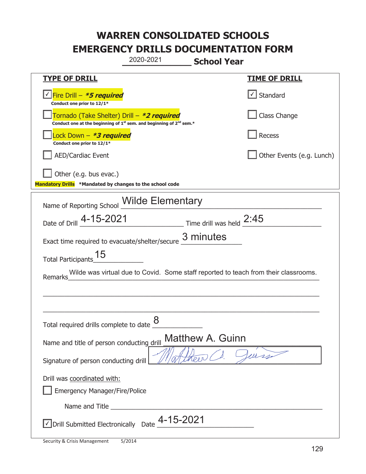|                                                                                    | 2020-2021<br><b>School Year</b>                                                             |                           |
|------------------------------------------------------------------------------------|---------------------------------------------------------------------------------------------|---------------------------|
| <b>TYPE OF DRILL</b>                                                               |                                                                                             | <u>TIME OF DRILL</u>      |
| √Fire Drill – <b>*5 required</b><br>Conduct one prior to 12/1*                     |                                                                                             | $\cup$ Standard           |
| Tornado (Take Shelter) Drill – *2 required                                         | Conduct one at the beginning of 1 <sup>st</sup> sem. and beginning of 2 <sup>nd</sup> sem.* | Class Change              |
| Lock Down - *3 required<br>Conduct one prior to 12/1*                              |                                                                                             | Recess                    |
| <b>AED/Cardiac Event</b>                                                           |                                                                                             | Other Events (e.g. Lunch) |
| Other (e.g. bus evac.)<br>Mandatory Drills *Mandated by changes to the school code |                                                                                             |                           |
| Name of Reporting School <i>Wilde</i> Elementary                                   |                                                                                             |                           |
|                                                                                    | Date of Drill 4-15-2021 Time drill was held 2:45                                            |                           |
|                                                                                    | Exact time required to evacuate/shelter/secure $\frac{3 \text{ minutes}}{4}$                |                           |
| 15<br><b>Total Participants</b>                                                    |                                                                                             |                           |
| <b>Remarks</b>                                                                     | Wilde was virtual due to Covid. Some staff reported to teach from their classrooms.         |                           |
|                                                                                    |                                                                                             |                           |
|                                                                                    |                                                                                             |                           |
| Total required drills complete to date $\frac{8}{4}$                               |                                                                                             |                           |
| Name and title of person conducting drill                                          | Matthew A. Guinn                                                                            |                           |
| Signature of person conducting drill                                               |                                                                                             | leurs                     |
| Drill was coordinated with:                                                        |                                                                                             |                           |
| <b>Emergency Manager/Fire/Police</b>                                               |                                                                                             |                           |
|                                                                                    |                                                                                             |                           |
| √ Drill Submitted Electronically Date                                              | 4-15-2021                                                                                   |                           |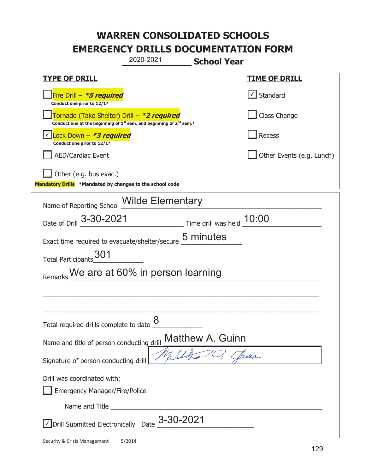|                                                                                                                                           | 2020-2021<br><b>School Year</b>          |                           |
|-------------------------------------------------------------------------------------------------------------------------------------------|------------------------------------------|---------------------------|
| <b>TYPE OF DRILL</b>                                                                                                                      |                                          | <b>TIME OF DRILL</b>      |
| Fire Drill - *5 required<br>Conduct one prior to 12/1*                                                                                    |                                          | $\cup$ Standard           |
| Tornado (Take Shelter) Drill – *2 required<br>Conduct one at the beginning of 1 <sup>st</sup> sem. and beginning of 2 <sup>nd</sup> sem.* |                                          | Class Change              |
| Lock Down $-$ *3 required<br>Conduct one prior to 12/1*                                                                                   |                                          | Recess                    |
| <b>AED/Cardiac Event</b>                                                                                                                  |                                          | Other Events (e.g. Lunch) |
| Other (e.g. bus evac.)<br>Mandatory Drills *Mandated by changes to the school code                                                        |                                          |                           |
| Name of Reporting School <i>Wilde</i> Elementary                                                                                          |                                          |                           |
| Date of Drill 3-30-2021                                                                                                                   | Time drill was held 10:00                |                           |
| Exact time required to evacuate/shelter/secure                                                                                            | 5 minutes                                |                           |
| 301<br><b>Total Participants</b>                                                                                                          |                                          |                           |
|                                                                                                                                           | Remarks We are at 60% in person learning |                           |
|                                                                                                                                           |                                          |                           |
|                                                                                                                                           |                                          |                           |
| Total required drills complete to date $\frac{8}{5}$                                                                                      |                                          |                           |
| Name and title of person conducting drill                                                                                                 | Matthew A. Guinn                         |                           |
| Signature of person conducting drill                                                                                                      |                                          | Beeg                      |
| Drill was coordinated with:<br><b>Emergency Manager/Fire/Police</b>                                                                       |                                          |                           |
|                                                                                                                                           |                                          |                           |
| $\sqrt{\phantom{a}}$ Drill Submitted Electronically Date $3$ -30-2021                                                                     |                                          |                           |

t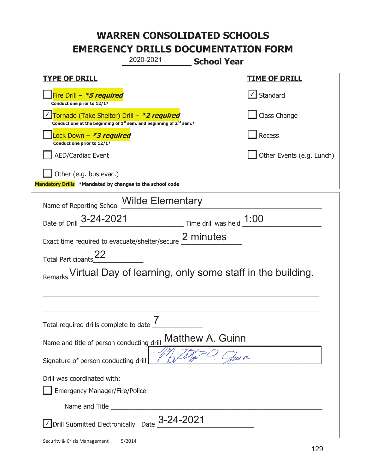|                                                                                    | 2020-2021<br><b>School Year</b>                                                             |                           |
|------------------------------------------------------------------------------------|---------------------------------------------------------------------------------------------|---------------------------|
| <b>TYPE OF DRILL</b>                                                               |                                                                                             | <u>TIME OF DRILL</u>      |
| Fire Drill - *5 required<br>Conduct one prior to 12/1*                             |                                                                                             | Standard                  |
| Tornado (Take Shelter) Drill – *2 required                                         | Conduct one at the beginning of 1 <sup>st</sup> sem. and beginning of 2 <sup>nd</sup> sem.* | Class Change              |
| Lock Down - *3 required<br>Conduct one prior to 12/1*                              |                                                                                             | Recess                    |
| <b>AED/Cardiac Event</b>                                                           |                                                                                             | Other Events (e.g. Lunch) |
| Other (e.g. bus evac.)<br>Mandatory Drills *Mandated by changes to the school code |                                                                                             |                           |
|                                                                                    | Name of Reporting School Wilde Elementary                                                   |                           |
| Date of Drill 3-24-2021                                                            | $\frac{1:00}{\sqrt{1}}$ Time drill was held $\frac{1:00}{\sqrt{1}}$                         |                           |
|                                                                                    | Exact time required to evacuate/shelter/secure 2 minutes                                    |                           |
| Total Participants_22                                                              |                                                                                             |                           |
|                                                                                    | Virtual Day of learning, only some staff in the building.                                   |                           |
|                                                                                    |                                                                                             |                           |
|                                                                                    |                                                                                             |                           |
| Total required drills complete to date $\frac{7}{4}$                               |                                                                                             |                           |
| Name and title of person conducting drill                                          | <b>Matthew A. Guinn</b>                                                                     |                           |
| Signature of person conducting drill                                               |                                                                                             | Sel on                    |
| Drill was coordinated with:<br><b>Emergency Manager/Fire/Police</b>                |                                                                                             |                           |
| Name and Title _________                                                           |                                                                                             |                           |
| √ Drill Submitted Electronically Date                                              | 3-24-2021                                                                                   |                           |

T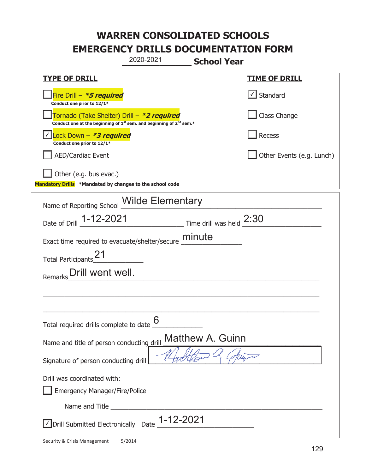|                                                                                                                                           | 2020-2021                | <b>School Year</b>      |                           |
|-------------------------------------------------------------------------------------------------------------------------------------------|--------------------------|-------------------------|---------------------------|
| <b>TYPE OF DRILL</b>                                                                                                                      |                          |                         | <b>TIME OF DRILL</b>      |
| Fire Drill $-$ <b>*5 required</b><br>Conduct one prior to 12/1*                                                                           |                          |                         | $\cup$ Standard           |
| Tornado (Take Shelter) Drill – *2 required<br>Conduct one at the beginning of 1 <sup>st</sup> sem. and beginning of 2 <sup>nd</sup> sem.* |                          |                         | Class Change              |
| <u>√ Lock Down – <b>*<i>3 required</i></b></u><br>Conduct one prior to 12/1*                                                              |                          |                         | Recess                    |
| <b>AED/Cardiac Event</b>                                                                                                                  |                          |                         | Other Events (e.g. Lunch) |
| Other (e.g. bus evac.)<br>Mandatory Drills *Mandated by changes to the school code                                                        |                          |                         |                           |
| Name of Reporting School Milde Elementary                                                                                                 |                          |                         |                           |
| Date of Drill 1-12-2021                                                                                                                   | Time drill was held 2:30 |                         |                           |
| Exact time required to evacuate/shelter/secure minute                                                                                     |                          |                         |                           |
| Total Participants <sup>21</sup>                                                                                                          |                          |                         |                           |
| Remarks_Drill went well.                                                                                                                  |                          |                         |                           |
|                                                                                                                                           |                          |                         |                           |
|                                                                                                                                           |                          |                         |                           |
| Total required drills complete to date $\frac{0}{0}$                                                                                      | 6                        |                         |                           |
| Name and title of person conducting drill                                                                                                 |                          | <b>Matthew A. Guinn</b> |                           |
| Signature of person conducting drill                                                                                                      |                          |                         |                           |
| Drill was coordinated with:                                                                                                               |                          |                         |                           |
| <b>Emergency Manager/Fire/Police</b>                                                                                                      |                          |                         |                           |
|                                                                                                                                           |                          |                         |                           |
| √ Drill Submitted Electronically Date 1-12-2021                                                                                           |                          |                         |                           |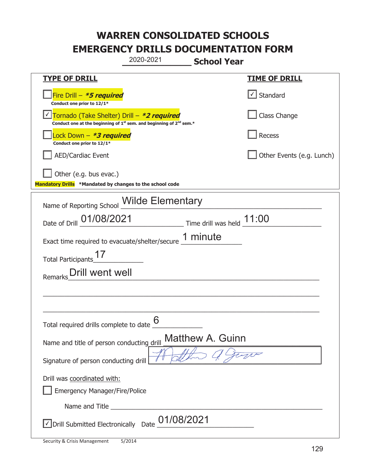|                                                                                                                                           | 2020-2021  | <b>School Year</b>                  |                                   |
|-------------------------------------------------------------------------------------------------------------------------------------------|------------|-------------------------------------|-----------------------------------|
| <b>TYPE OF DRILL</b>                                                                                                                      |            |                                     | <b>TIME OF DRILL</b>              |
| Fire Drill $- *5$ required<br>Conduct one prior to 12/1*                                                                                  |            |                                     | $\lfloor \angle \rfloor$ Standard |
| Tornado (Take Shelter) Drill – *2 required<br>Conduct one at the beginning of 1 <sup>st</sup> sem. and beginning of 2 <sup>nd</sup> sem.* |            |                                     | Class Change                      |
| Lock Down – <b>*<i>3 required</i></b><br>Conduct one prior to 12/1*                                                                       |            |                                     | Recess                            |
| <b>AED/Cardiac Event</b>                                                                                                                  |            |                                     | Other Events (e.g. Lunch)         |
| Other (e.g. bus evac.)<br>Mandatory Drills *Mandated by changes to the school code                                                        |            |                                     |                                   |
| Name of Reporting School Wilde Elementary                                                                                                 |            |                                     |                                   |
| Date of Drill 01/08/2021                                                                                                                  |            | $\_$ Time drill was held $\_$ 11:00 |                                   |
| Exact time required to evacuate/shelter/secure 1 minute                                                                                   |            |                                     |                                   |
| <b>Total Participants</b>                                                                                                                 |            |                                     |                                   |
| Drill went well<br>Remarks                                                                                                                |            |                                     |                                   |
|                                                                                                                                           |            |                                     |                                   |
|                                                                                                                                           |            |                                     |                                   |
| Total required drills complete to date <u>U</u>                                                                                           | 6          |                                     |                                   |
| Name and title of person conducting drill                                                                                                 |            | <b>Matthew A. Guinn</b>             |                                   |
| Signature of person conducting drill                                                                                                      |            |                                     |                                   |
| Drill was coordinated with:                                                                                                               |            |                                     |                                   |
| <b>Emergency Manager/Fire/Police</b>                                                                                                      |            |                                     |                                   |
|                                                                                                                                           | 01/08/2021 |                                     |                                   |
| √ Drill Submitted Electronically Date                                                                                                     |            |                                     |                                   |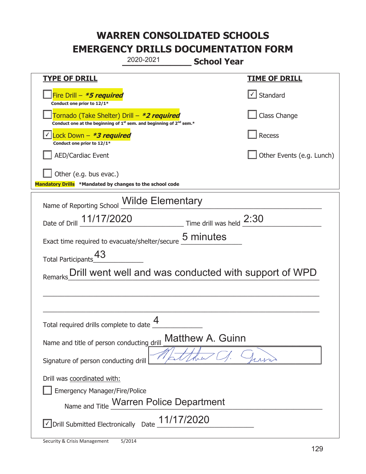|                                                                                                                                           | 2020-2021                               | <b>School Year</b>      |                                                       |
|-------------------------------------------------------------------------------------------------------------------------------------------|-----------------------------------------|-------------------------|-------------------------------------------------------|
| <u>TYPE OF DRILL</u>                                                                                                                      |                                         |                         | <u>TIME OF DRILL</u>                                  |
| Fire Drill $- *5$ required<br>Conduct one prior to 12/1*                                                                                  |                                         |                         | √ Standard                                            |
| Tornado (Take Shelter) Drill – *2 required<br>Conduct one at the beginning of 1 <sup>st</sup> sem. and beginning of 2 <sup>nd</sup> sem.* |                                         |                         | Class Change                                          |
| Lock Down - <b><i>*3 required</i></b><br>Conduct one prior to 12/1*                                                                       |                                         |                         | Recess                                                |
| <b>AED/Cardiac Event</b>                                                                                                                  |                                         |                         | Other Events (e.g. Lunch)                             |
| Other (e.g. bus evac.)<br>Mandatory Drills *Mandated by changes to the school code                                                        |                                         |                         |                                                       |
| Name of Reporting School Milde Elementary                                                                                                 |                                         |                         |                                                       |
| Date of Drill 11/17/2020 Time drill was held 2:30                                                                                         |                                         |                         |                                                       |
| Exact time required to evacuate/shelter/secure 5 minutes                                                                                  |                                         |                         |                                                       |
| <b>Total Participants</b>                                                                                                                 |                                         |                         |                                                       |
| Remarks                                                                                                                                   |                                         |                         | Drill went well and was conducted with support of WPD |
|                                                                                                                                           |                                         |                         |                                                       |
|                                                                                                                                           |                                         |                         |                                                       |
| Total required drills complete to date                                                                                                    | 4                                       |                         |                                                       |
| Name and title of person conducting drill                                                                                                 |                                         | <b>Matthew A. Guinn</b> |                                                       |
| Signature of person conducting drill                                                                                                      |                                         |                         |                                                       |
| Drill was coordinated with:<br><b>Emergency Manager/Fire/Police</b>                                                                       | Name and Title Warren Police Department |                         |                                                       |
| $\vee$ Drill Submitted Electronically Date $\_$ 11/17/2020                                                                                |                                         |                         |                                                       |

t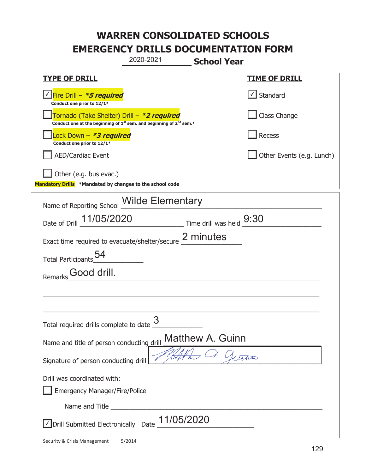|                                                                                    | 2020-2021                                                                                   | <b>School Year</b>         |
|------------------------------------------------------------------------------------|---------------------------------------------------------------------------------------------|----------------------------|
| <u>TYPE OF DRILL</u>                                                               |                                                                                             | <b>TIME OF DRILL</b>       |
| Fire Drill – <i>*<b>5 required</b></i><br>Conduct one prior to 12/1*               |                                                                                             | Standard                   |
| Tornado (Take Shelter) Drill – *2 required                                         | Conduct one at the beginning of 1 <sup>st</sup> sem. and beginning of 2 <sup>nd</sup> sem.* | Class Change               |
| Lock Down - *3 required<br>Conduct one prior to 12/1*                              |                                                                                             | <b>Recess</b>              |
| <b>AED/Cardiac Event</b>                                                           |                                                                                             | Other Events (e.g. Lunch)  |
| Other (e.g. bus evac.)<br>Mandatory Drills *Mandated by changes to the school code |                                                                                             |                            |
|                                                                                    | Name of Reporting School Milde Elementary                                                   |                            |
| Date of Drill 11/05/2020                                                           |                                                                                             | Time drill was held $9:30$ |
|                                                                                    | Exact time required to evacuate/shelter/secure 2 minutes                                    |                            |
| <b>Total Participants</b>                                                          |                                                                                             |                            |
| Good drill.<br>Remarks                                                             |                                                                                             |                            |
|                                                                                    |                                                                                             |                            |
|                                                                                    |                                                                                             |                            |
| Total required drills complete to date U                                           | 3                                                                                           |                            |
| Name and title of person conducting drill                                          | <b>Matthew A. Guinn</b>                                                                     |                            |
| Signature of person conducting drill                                               |                                                                                             | Lerin                      |
| Drill was coordinated with:<br><b>Emergency Manager/Fire/Police</b>                |                                                                                             |                            |
|                                                                                    |                                                                                             |                            |
| √ Drill Submitted Electronically Date                                              | 11/05/2020                                                                                  |                            |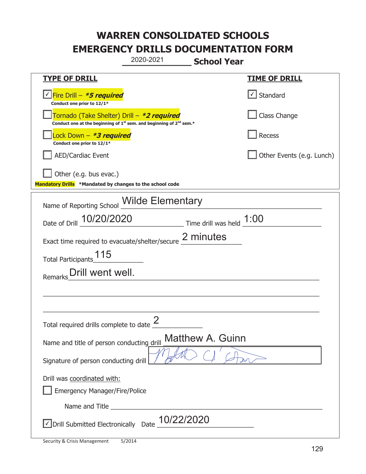| 2020-2021                                                                                                                                 | <b>School Year</b>         |
|-------------------------------------------------------------------------------------------------------------------------------------------|----------------------------|
| <u>TYPE OF DRILL</u>                                                                                                                      | <u>TIME OF DRILL</u>       |
| Fire Drill - *5 required<br>Conduct one prior to 12/1*                                                                                    | Standard                   |
| Tornado (Take Shelter) Drill - *2 required<br>Conduct one at the beginning of 1 <sup>st</sup> sem. and beginning of 2 <sup>nd</sup> sem.* | Class Change               |
| ock Down – <b>*3 required</b><br>Conduct one prior to 12/1*                                                                               | <b>Recess</b>              |
| <b>AED/Cardiac Event</b>                                                                                                                  | Other Events (e.g. Lunch)  |
| Other (e.g. bus evac.)<br>Mandatory Drills *Mandated by changes to the school code                                                        |                            |
| Name of Reporting School <b>Wilde Elementary</b>                                                                                          |                            |
| Date of Drill 10/20/2020                                                                                                                  | Time drill was held $1:00$ |
| Exact time required to evacuate/shelter/secure 2 minutes                                                                                  |                            |
| 115<br>Total Participants                                                                                                                 |                            |
| Drill went well.<br>Remarks                                                                                                               |                            |
|                                                                                                                                           |                            |
|                                                                                                                                           |                            |
| ∩<br>Total required drills complete to date $\leq$                                                                                        |                            |
| Name and title of person conducting drill                                                                                                 | <b>Matthew A. Guinn</b>    |
| Signature of person conducting drill                                                                                                      |                            |
| Drill was coordinated with:<br><b>Emergency Manager/Fire/Police</b>                                                                       |                            |
| Name and Title <b>Name and Title</b>                                                                                                      |                            |
| <b>Drill Submitted Electronically</b><br>Date                                                                                             | 10/22/2020                 |